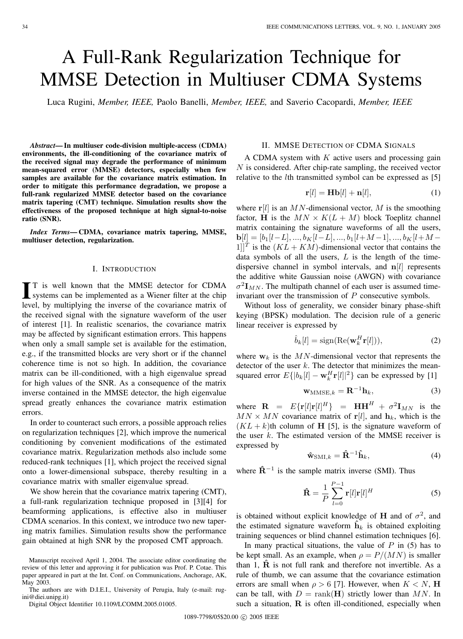# A Full-Rank Regularization Technique for MMSE Detection in Multiuser CDMA Systems

Luca Rugini, *Member, IEEE,* Paolo Banelli, *Member, IEEE,* and Saverio Cacopardi, *Member, IEEE*

*Abstract***— In multiuser code-division multiple-access (CDMA) environments, the ill-conditioning of the covariance matrix of the received signal may degrade the performance of minimum mean-squared error (MMSE) detectors, especially when few samples are available for the covariance matrix estimation. In order to mitigate this performance degradation, we propose a full-rank regularized MMSE detector based on the covariance matrix tapering (CMT) technique. Simulation results show the effectiveness of the proposed technique at high signal-to-noise ratio (SNR).**

*Index Terms***— CDMA, covariance matrix tapering, MMSE, multiuser detection, regularization.**

## I. INTRODUCTION

**I** is well known that the MMSE detector for CDMA systems can be implemented as a Wiener filter at the chip T is well known that the MMSE detector for CDMA level, by multiplying the inverse of the covariance matrix of the received signal with the signature waveform of the user of interest [1]. In realistic scenarios, the covariance matrix may be affected by significant estimation errors. This happens when only a small sample set is available for the estimation, e.g., if the transmitted blocks are very short or if the channel coherence time is not so high. In addition, the covariance matrix can be ill-conditioned, with a high eigenvalue spread for high values of the SNR. As a consequence of the matrix inverse contained in the MMSE detector, the high eigenvalue spread greatly enhances the covariance matrix estimation errors.

In order to counteract such errors, a possible approach relies on regularization techniques [2], which improve the numerical conditioning by convenient modifications of the estimated covariance matrix. Regularization methods also include some reduced-rank techniques [1], which project the received signal onto a lower-dimensional subspace, thereby resulting in a covariance matrix with smaller eigenvalue spread.

We show herein that the covariance matrix tapering (CMT), a full-rank regularization technique proposed in [3][4] for beamforming applications, is effective also in multiuser CDMA scenarios. In this context, we introduce two new tapering matrix families. Simulation results show the performance gain obtained at high SNR by the proposed CMT approach.

Manuscript received April 1, 2004. The associate editor coordinating the review of this letter and approving it for publication was Prof. P. Cotae. This paper appeared in part at the Int. Conf. on Communications, Anchorage, AK, May 2003.

The authors are with D.I.E.I., University of Perugia, Italy (e-mail: rugini@diei.unipg.it)

Digital Object Identifier 10.1109/LCOMM.2005.01005.

# II. MMSE DETECTION OF CDMA SIGNALS

A CDMA system with  $K$  active users and processing gain  $N$  is considered. After chip-rate sampling, the received vector relative to the *l*th transmitted symbol can be expressed as [5]

$$
\mathbf{r}[l] = \mathbf{H}\mathbf{b}[l] + \mathbf{n}[l],\tag{1}
$$

where  $r[l]$  is an MN-dimensional vector, M is the smoothing factor, **H** is the  $MN \times K(L + M)$  block Toeplitz channel matrix containing the signature waveforms of all the users,  $$  $1$ ]<sup> $T$ </sup> is the  $(KL + KM)$ -dimensional vector that contains the data symbols of all the users,  $L$  is the length of the timedispersive channel in symbol intervals, and **<sup>n</sup>**[l] represents the additive white Gaussian noise (AWGN) with covariance  $\sigma^2$ **I**<sub>MN</sub>. The multipath channel of each user is assumed timeinvariant over the transmission of P consecutive symbols.

Without loss of generality, we consider binary phase-shift keying (BPSK) modulation. The decision rule of a generic linear receiver is expressed by

$$
\hat{b}_k[l] = \text{sign}(\text{Re}(\mathbf{w}_k^H \mathbf{r}[l])),\tag{2}
$$

where  $w_k$  is the MN-dimensional vector that represents the detector of the user  $k$ . The detector that minimizes the meansquared error  $E\{|b_k[l] - \mathbf{w}_k^H \mathbf{r}[l]|^2\}$  can be expressed by [1]

$$
\mathbf{w}_{\mathrm{MMSE},k} = \mathbf{R}^{-1} \mathbf{h}_k,\tag{3}
$$

where  $\mathbf{R} = E\{\mathbf{r}[l]\mathbf{r}[l]^H\} = \mathbf{H}\mathbf{H}^H + \sigma^2\mathbf{I}_{MN}$  is the  $MN \times MN$  covariance matrix of  $\mathbf{r}[l]$  and  $\mathbf{h}_k$  which is the  $MN \times MN$  covariance matrix of **r**[l], and **h**<sub>k</sub>, which is the  $(KL + k)$ th column of **H** [5], is the signature waveform of the user  $k$ . The estimated version of the MMSE receiver is expressed by

$$
\hat{\mathbf{w}}_{\text{SMI},k} = \hat{\mathbf{R}}^{-1} \hat{\mathbf{h}}_k,\tag{4}
$$

where  $\hat{\mathbf{R}}^{-1}$  is the sample matrix inverse (SMI). Thus

$$
\hat{\mathbf{R}} = \frac{1}{P} \sum_{l=0}^{P-1} \mathbf{r}[l] \mathbf{r}[l]^H
$$
\n(5)

is obtained without explicit knowledge of **H** and of  $\sigma^2$ , and the estimated signature waveform  $\hat{\mathbf{h}}_k$  is obtained exploiting training sequences or blind channel estimation techniques [6].

In many practical situations, the value of  $P$  in (5) has to be kept small. As an example, when  $\rho = P/(MN)$  is smaller than 1,  $\hat{R}$  is not full rank and therefore not invertible. As a rule of thumb, we can assume that the covariance estimation errors are small when  $\rho > 6$  [7]. However, when  $K < N$ , **H** can be tall, with  $D = \text{rank}(\mathbf{H})$  strictly lower than MN. In such a situation, **R** is often ill-conditioned, especially when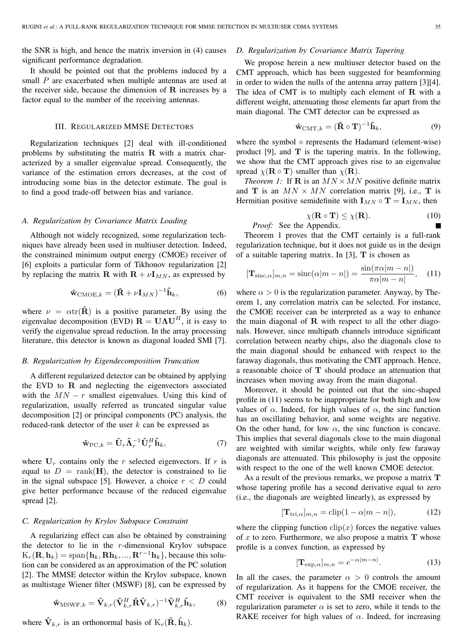the SNR is high, and hence the matrix inversion in (4) causes significant performance degradation.

It should be pointed out that the problems induced by a small P are exacerbated when multiple antennas are used at the receiver side, because the dimension of **R** increases by a factor equal to the number of the receiving antennas.

# III. REGULARIZED MMSE DETECTORS

Regularization techniques [2] deal with ill-conditioned problems by substituting the matrix **R** with a matrix characterized by a smaller eigenvalue spread. Consequently, the variance of the estimation errors decreases, at the cost of introducing some bias in the detector estimate. The goal is to find a good trade-off between bias and variance.

## *A. Regularization by Covariance Matrix Loading*

Although not widely recognized, some regularization techniques have already been used in multiuser detection. Indeed, the constrained minimum output energy (CMOE) receiver of [6] exploits a particular form of Tikhonov regularization [2] by replacing the matrix **R** with  $\mathbf{R} + \nu \mathbf{I}_{MN}$ , as expressed by

$$
\hat{\mathbf{w}}_{\text{CMOE},k} = (\hat{\mathbf{R}} + \nu \mathbf{I}_{MN})^{-1} \hat{\mathbf{h}}_k,\tag{6}
$$

where  $\nu = \alpha \text{tr}(\hat{\mathbf{R}})$  is a positive parameter. By using the eigenvalue decomposition (EVD)  $\mathbf{R} = \mathbf{U} \mathbf{\Lambda} \mathbf{U}^H$ , it is easy to verify the eigenvalue spread reduction. In the array processing literature, this detector is known as diagonal loaded SMI [7].

### *B. Regularization by Eigendecomposition Truncation*

A different regularized detector can be obtained by applying the EVD to **R** and neglecting the eigenvectors associated with the  $MN - r$  smallest eigenvalues. Using this kind of regularization, usually referred as truncated singular value decomposition [2] or principal components (PC) analysis, the reduced-rank detector of the user  $k$  can be expressed as

$$
\hat{\mathbf{w}}_{\text{PC},k} = \hat{\mathbf{U}}_r \hat{\mathbf{\Lambda}}_r^{-1} \hat{\mathbf{U}}_r^H \hat{\mathbf{h}}_k,\tag{7}
$$

where  $U_r$  contains only the r selected eigenvectors. If r is equal to  $D = \text{rank}(\mathbf{H})$ , the detector is constrained to lie in the signal subspace [5]. However, a choice  $r < D$  could give better performance because of the reduced eigenvalue spread [2].

# *C. Regularization by Krylov Subspace Constraint*

A regularizing effect can also be obtained by constraining the detector to lie in the r-dimensional Krylov subspace  $K_r(\mathbf{R}, \mathbf{h}_k) = \text{span}\{\mathbf{h}_k, \mathbf{R}\mathbf{h}_k, ..., \mathbf{R}^{r-1}\mathbf{h}_k\}$ , because this solution can be considered as an approximation of the PC solution [2]. The MMSE detector within the Krylov subspace, known as multistage Wiener filter (MSWF) [8], can be expressed by

$$
\hat{\mathbf{w}}_{\text{MSWF},k} = \hat{\mathbf{V}}_{k,r} (\hat{\mathbf{V}}_{k,r}^H \hat{\mathbf{R}} \hat{\mathbf{V}}_{k,r})^{-1} \hat{\mathbf{V}}_{k,r}^H \hat{\mathbf{h}}_k, \tag{8}
$$

# product [9], and **T** is the tapering matrix. In the following, we show that the CMT approach gives rise to an eigenvalue

spread  $\chi(\mathbf{R} \circ \mathbf{T})$  smaller than  $\chi(\mathbf{R})$ . *Theorem 1:* If **R** is an  $MN \times MN$  positive definite matrix and **T** is an  $MN \times MN$  correlation matrix [9], i.e., **T** is Hermitian positive semidefinite with  $\mathbf{I}_{MN} \circ \mathbf{T} = \mathbf{I}_{MN}$ , then

*D. Regularization by Covariance Matrix Tapering*

We propose herein a new multiuser detector based on the CMT approach, which has been suggested for beamforming in order to widen the nulls of the antenna array pattern [3][4]. The idea of CMT is to multiply each element of **R** with a different weight, attenuating those elements far apart from the main diagonal. The CMT detector can be expressed as

where the symbol ∘ represents the Hadamard (element-wise)

<sup>χ</sup>(**<sup>R</sup>** ◦ **<sup>T</sup>**) <sup>≤</sup> <sup>χ</sup>(**R**). (10) *Proof:* See the Appendix.

 $\hat{\mathbf{w}}_{\text{CMT},k} = (\hat{\mathbf{R}} \circ \mathbf{T})^{-1} \hat{\mathbf{h}}_k,$ (9)

Theorem 1 proves that the CMT certainly is a full-rank regularization technique, but it does not guide us in the design of a suitable tapering matrix. In [3], **T** is chosen as

$$
[\mathbf{T}_{\mathrm{sinc},\alpha}]_{m,n} = \mathrm{sinc}(\alpha|m-n|) = \frac{\sin(\pi\alpha|m-n|)}{\pi\alpha|m-n|}, \quad (11)
$$

where  $\alpha > 0$  is the regularization parameter. Anyway, by Theorem 1, any correlation matrix can be selected. For instance, the CMOE receiver can be interpreted as a way to enhance the main diagonal of **R** with respect to all the other diagonals. However, since multipath channels introduce significant correlation between nearby chips, also the diagonals close to the main diagonal should be enhanced with respect to the faraway diagonals, thus motivating the CMT approach. Hence, a reasonable choice of **T** should produce an attenuation that increases when moving away from the main diagonal.

Moreover, it should be pointed out that the sinc-shaped profile in (11) seems to be inappropriate for both high and low values of  $\alpha$ . Indeed, for high values of  $\alpha$ , the sinc function has an oscillating behavior, and some weights are negative. On the other hand, for low  $\alpha$ , the sinc function is concave. This implies that several diagonals close to the main diagonal are weighted with similar weights, while only few faraway diagonals are attenuated. This philosophy is just the opposite with respect to the one of the well known CMOE detector.

As a result of the previous remarks, we propose a matrix **T** whose tapering profile has a second derivative equal to zero (i.e., the diagonals are weighted linearly), as expressed by

$$
[\mathbf{T}_{\text{tri},\alpha}]_{m,n} = \text{clip}(1 - \alpha |m - n|),\tag{12}
$$

where the clipping function  $\text{clip}(x)$  forces the negative values of  $x$  to zero. Furthermore, we also propose a matrix  $T$  whose profile is a convex function, as expressed by

$$
[\mathbf{T}_{\exp,\alpha}]_{m,n} = e^{-\alpha|m-n|}.
$$
 (13)

In all the cases, the parameter  $\alpha > 0$  controls the amount of regularization. As it happens for the CMOE receiver, the CMT receiver is equivalent to the SMI receiver when the regularization parameter  $\alpha$  is set to zero, while it tends to the RAKE receiver for high values of  $\alpha$ . Indeed, for increasing

where  $\hat{\mathbf{V}}_{k,r}$  is an orthonormal basis of  $\mathbf{K}_r(\hat{\mathbf{R}}, \hat{\mathbf{h}}_k)$ .